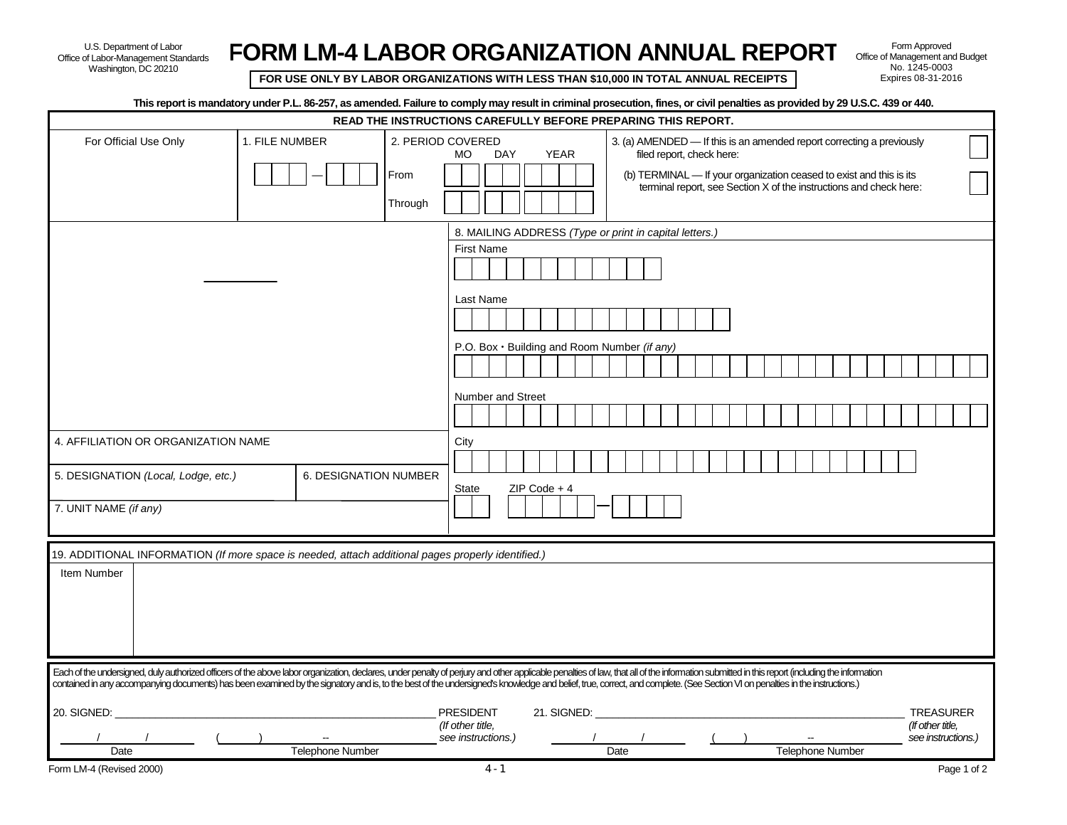U.S. Department of Labor Office of Labor-Management Standards Washington, DC 20210

**FORM LM-4 LABOR ORGANIZATION ANNUAL REPORT**

**FOR USE ONLY BY LABOR ORGANIZATIONS WITH LESS THAN \$10,000 IN TOTAL ANNUAL RECEIPTS** 

Form Approved Office of Management and Budget No. 1245-0003

| This report is mandatory under P.L. 86-257, as amended. Failure to comply may result in criminal prosecution, fines, or civil penalties as provided by 29 U.S.C. 439 or 440.                                                                                                                                                                                                                                                                                 |                |                         |                                                               |                                                        |     |                         |                                                                       |                                                                                                                                           |  |  |                         |  |  |                  |                    |
|--------------------------------------------------------------------------------------------------------------------------------------------------------------------------------------------------------------------------------------------------------------------------------------------------------------------------------------------------------------------------------------------------------------------------------------------------------------|----------------|-------------------------|---------------------------------------------------------------|--------------------------------------------------------|-----|-------------------------|-----------------------------------------------------------------------|-------------------------------------------------------------------------------------------------------------------------------------------|--|--|-------------------------|--|--|------------------|--------------------|
|                                                                                                                                                                                                                                                                                                                                                                                                                                                              |                |                         | READ THE INSTRUCTIONS CAREFULLY BEFORE PREPARING THIS REPORT. |                                                        |     |                         |                                                                       |                                                                                                                                           |  |  |                         |  |  |                  |                    |
| For Official Use Only                                                                                                                                                                                                                                                                                                                                                                                                                                        | 1. FILE NUMBER |                         | 2. PERIOD COVERED                                             | <b>MO</b>                                              | DAY | <b>YEAR</b>             | 3. (a) AMENDED — If this is an amended report correcting a previously | filed report, check here:                                                                                                                 |  |  |                         |  |  |                  |                    |
|                                                                                                                                                                                                                                                                                                                                                                                                                                                              |                |                         | From                                                          |                                                        |     |                         |                                                                       | (b) TERMINAL - If your organization ceased to exist and this is its<br>terminal report, see Section X of the instructions and check here: |  |  |                         |  |  |                  |                    |
|                                                                                                                                                                                                                                                                                                                                                                                                                                                              |                |                         | Through                                                       |                                                        |     |                         |                                                                       |                                                                                                                                           |  |  |                         |  |  |                  |                    |
|                                                                                                                                                                                                                                                                                                                                                                                                                                                              |                |                         |                                                               | 8. MAILING ADDRESS (Type or print in capital letters.) |     |                         |                                                                       |                                                                                                                                           |  |  |                         |  |  |                  |                    |
|                                                                                                                                                                                                                                                                                                                                                                                                                                                              |                |                         |                                                               | <b>First Name</b>                                      |     |                         |                                                                       |                                                                                                                                           |  |  |                         |  |  |                  |                    |
|                                                                                                                                                                                                                                                                                                                                                                                                                                                              |                |                         |                                                               | Last Name                                              |     |                         |                                                                       |                                                                                                                                           |  |  |                         |  |  |                  |                    |
|                                                                                                                                                                                                                                                                                                                                                                                                                                                              |                |                         |                                                               |                                                        |     |                         |                                                                       |                                                                                                                                           |  |  |                         |  |  |                  |                    |
|                                                                                                                                                                                                                                                                                                                                                                                                                                                              |                |                         |                                                               | P.O. Box · Building and Room Number (if any)           |     |                         |                                                                       |                                                                                                                                           |  |  |                         |  |  |                  |                    |
|                                                                                                                                                                                                                                                                                                                                                                                                                                                              |                |                         |                                                               |                                                        |     |                         |                                                                       |                                                                                                                                           |  |  |                         |  |  |                  |                    |
|                                                                                                                                                                                                                                                                                                                                                                                                                                                              |                |                         |                                                               | <b>Number and Street</b>                               |     |                         |                                                                       |                                                                                                                                           |  |  |                         |  |  |                  |                    |
|                                                                                                                                                                                                                                                                                                                                                                                                                                                              |                |                         |                                                               |                                                        |     |                         |                                                                       |                                                                                                                                           |  |  |                         |  |  |                  |                    |
| 4. AFFILIATION OR ORGANIZATION NAME                                                                                                                                                                                                                                                                                                                                                                                                                          |                |                         |                                                               | City                                                   |     |                         |                                                                       |                                                                                                                                           |  |  |                         |  |  |                  |                    |
|                                                                                                                                                                                                                                                                                                                                                                                                                                                              |                |                         |                                                               |                                                        |     |                         |                                                                       |                                                                                                                                           |  |  |                         |  |  |                  |                    |
| 5. DESIGNATION (Local, Lodge, etc.)                                                                                                                                                                                                                                                                                                                                                                                                                          |                | 6. DESIGNATION NUMBER   |                                                               | State                                                  |     | $ZIP Code + 4$          |                                                                       |                                                                                                                                           |  |  |                         |  |  |                  |                    |
| 7. UNIT NAME (if any)                                                                                                                                                                                                                                                                                                                                                                                                                                        |                |                         |                                                               |                                                        |     |                         |                                                                       |                                                                                                                                           |  |  |                         |  |  |                  |                    |
|                                                                                                                                                                                                                                                                                                                                                                                                                                                              |                |                         |                                                               |                                                        |     |                         |                                                                       |                                                                                                                                           |  |  |                         |  |  |                  |                    |
| 19. ADDITIONAL INFORMATION (If more space is needed, attach additional pages properly identified.)                                                                                                                                                                                                                                                                                                                                                           |                |                         |                                                               |                                                        |     |                         |                                                                       |                                                                                                                                           |  |  |                         |  |  |                  |                    |
| Item Number                                                                                                                                                                                                                                                                                                                                                                                                                                                  |                |                         |                                                               |                                                        |     |                         |                                                                       |                                                                                                                                           |  |  |                         |  |  |                  |                    |
|                                                                                                                                                                                                                                                                                                                                                                                                                                                              |                |                         |                                                               |                                                        |     |                         |                                                                       |                                                                                                                                           |  |  |                         |  |  |                  |                    |
|                                                                                                                                                                                                                                                                                                                                                                                                                                                              |                |                         |                                                               |                                                        |     |                         |                                                                       |                                                                                                                                           |  |  |                         |  |  |                  |                    |
|                                                                                                                                                                                                                                                                                                                                                                                                                                                              |                |                         |                                                               |                                                        |     |                         |                                                                       |                                                                                                                                           |  |  |                         |  |  |                  |                    |
|                                                                                                                                                                                                                                                                                                                                                                                                                                                              |                |                         |                                                               |                                                        |     |                         |                                                                       |                                                                                                                                           |  |  |                         |  |  |                  |                    |
| Each of the undersigned, duly authorized officers of the above labor organization, declares, under penalty of perjury and other applicable penalties of law, that all of the information submitted in this report (including t<br>contained in any accompanying documents) has been examined by the signatory and is, to the best of the undersigned's knowledge and belief, true, correct, and complete. (See Section VI on penalties in the instructions.) |                |                         |                                                               |                                                        |     |                         |                                                                       |                                                                                                                                           |  |  |                         |  |  |                  |                    |
| 20. SIGNED:                                                                                                                                                                                                                                                                                                                                                                                                                                                  |                |                         |                                                               | <b>PRESIDENT</b>                                       |     | 21. SIGNED: 21. SIGNED: |                                                                       |                                                                                                                                           |  |  |                         |  |  |                  | <b>TREASURER</b>   |
|                                                                                                                                                                                                                                                                                                                                                                                                                                                              |                |                         |                                                               | (If other title,<br>see instructions.)                 |     |                         |                                                                       |                                                                                                                                           |  |  |                         |  |  | (If other title. | see instructions.) |
| Date                                                                                                                                                                                                                                                                                                                                                                                                                                                         |                | <b>Telephone Number</b> |                                                               |                                                        |     |                         | Date                                                                  |                                                                                                                                           |  |  | <b>Telephone Number</b> |  |  |                  |                    |